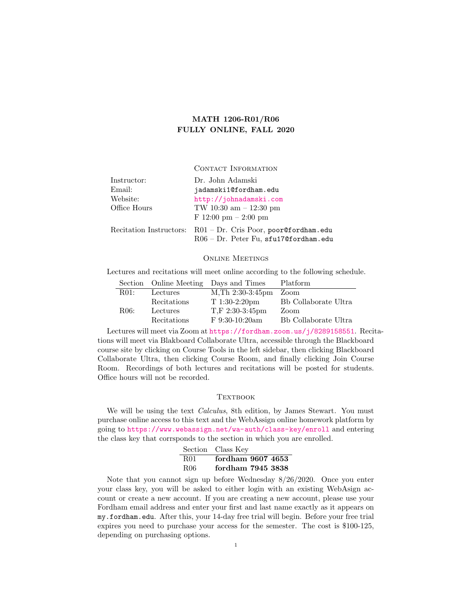# MATH 1206-R01/R06 FULLY ONLINE, FALL 2020

CONTACT INFORMATION

| Instructor:  | Dr. John Adamski                                                                                         |  |
|--------------|----------------------------------------------------------------------------------------------------------|--|
| Email:       | jadamski10fordham.edu                                                                                    |  |
| Website:     | http://johnadamski.com                                                                                   |  |
| Office Hours | TW 10:30 am $-12:30$ pm<br>F $12:00 \text{ pm} - 2:00 \text{ pm}$                                        |  |
|              | Recitation Instructors: R01 - Dr. Cris Poor, poor@fordham.edu<br>$R06 - Dr.$ Peter Fu, sfu17@fordham.edu |  |

Online Meetings

Lectures and recitations will meet online according to the following schedule.

|      |             | Section Online Meeting Days and Times | Platform             |
|------|-------------|---------------------------------------|----------------------|
| R01: | Lectures    | $M$ , Th $2:30-3:45$ pm               | Zoom                 |
|      | Recitations | $T1:30-2:20$ pm                       | Bb Collaborate Ultra |
| R06: | Lectures    | $T.F 2:30-3:45 \text{pm}$             | Zoom                 |
|      | Recitations | $F$ 9:30-10:20am                      | Bb Collaborate Ultra |

Lectures will meet via Zoom at <https://fordham.zoom.us/j/8289158551>. Recitations will meet via Blakboard Collaborate Ultra, accessible through the Blackboard course site by clicking on Course Tools in the left sidebar, then clicking Blackboard Collaborate Ultra, then clicking Course Room, and finally clicking Join Course Room. Recordings of both lectures and recitations will be posted for students. Office hours will not be recorded.

# **TEXTBOOK**

We will be using the text *Calculus*, 8th edition, by James Stewart. You must purchase online access to this text and the WebAssign online homework platform by going to <https://www.webassign.net/wa-auth/class-key/enroll> and entering the class key that corrsponds to the section in which you are enrolled.

|     | Section Class Key |
|-----|-------------------|
| R01 | fordham 9607 4653 |
| R06 | fordham 7945 3838 |

Note that you cannot sign up before Wednesday 8/26/2020. Once you enter your class key, you will be asked to either login with an existing WebAsign account or create a new account. If you are creating a new account, please use your Fordham email address and enter your first and last name exactly as it appears on my.fordham.edu. After this, your 14-day free trial will begin. Before your free trial expires you need to purchase your access for the semester. The cost is \$100-125, depending on purchasing options.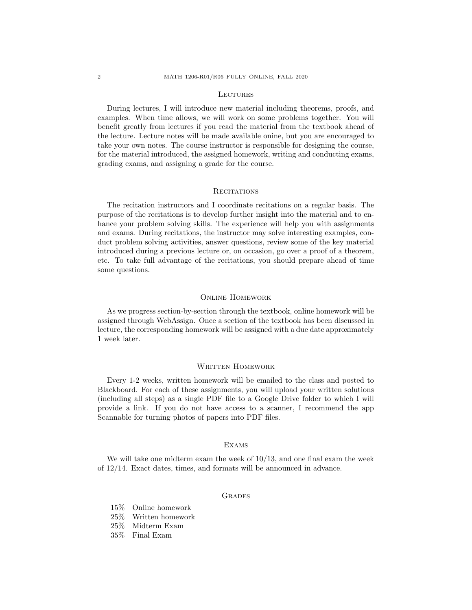#### **LECTURES**

During lectures, I will introduce new material including theorems, proofs, and examples. When time allows, we will work on some problems together. You will benefit greatly from lectures if you read the material from the textbook ahead of the lecture. Lecture notes will be made available onine, but you are encouraged to take your own notes. The course instructor is responsible for designing the course, for the material introduced, the assigned homework, writing and conducting exams, grading exams, and assigning a grade for the course.

# **RECITATIONS**

The recitation instructors and I coordinate recitations on a regular basis. The purpose of the recitations is to develop further insight into the material and to enhance your problem solving skills. The experience will help you with assignments and exams. During recitations, the instructor may solve interesting examples, conduct problem solving activities, answer questions, review some of the key material introduced during a previous lecture or, on occasion, go over a proof of a theorem, etc. To take full advantage of the recitations, you should prepare ahead of time some questions.

# Online Homework

As we progress section-by-section through the textbook, online homework will be assigned through WebAssign. Once a section of the textbook has been discussed in lecture, the corresponding homework will be assigned with a due date approximately 1 week later.

### WRITTEN HOMEWORK

Every 1-2 weeks, written homework will be emailed to the class and posted to Blackboard. For each of these assignments, you will upload your written solutions (including all steps) as a single PDF file to a Google Drive folder to which I will provide a link. If you do not have access to a scanner, I recommend the app Scannable for turning photos of papers into PDF files.

# **EXAMS**

We will take one midterm exam the week of 10/13, and one final exam the week of 12/14. Exact dates, times, and formats will be announced in advance.

# **GRADES**

- 15% Online homework
- 25% Written homework
- 25% Midterm Exam
- 35% Final Exam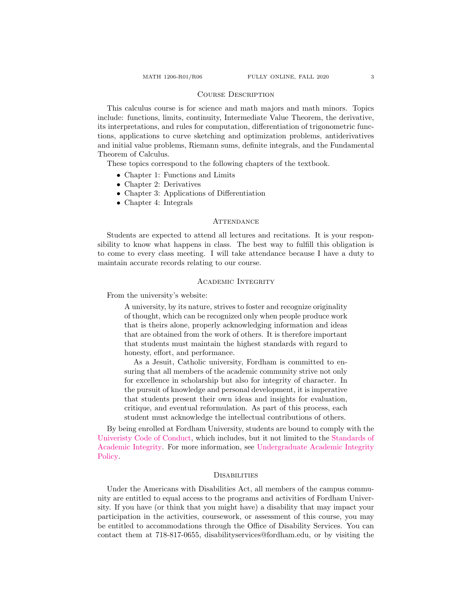# Course Description

This calculus course is for science and math majors and math minors. Topics include: functions, limits, continuity, Intermediate Value Theorem, the derivative, its interpretations, and rules for computation, differentiation of trigonometric functions, applications to curve sketching and optimization problems, antiderivatives and initial value problems, Riemann sums, definite integrals, and the Fundamental Theorem of Calculus.

These topics correspond to the following chapters of the textbook.

- Chapter 1: Functions and Limits
- Chapter 2: Derivatives
- Chapter 3: Applications of Differentiation
- Chapter 4: Integrals

### **ATTENDANCE**

Students are expected to attend all lectures and recitations. It is your responsibility to know what happens in class. The best way to fulfill this obligation is to come to every class meeting. I will take attendance because I have a duty to maintain accurate records relating to our course.

#### Academic Integrity

From the university's website:

A university, by its nature, strives to foster and recognize originality of thought, which can be recognized only when people produce work that is theirs alone, properly acknowledging information and ideas that are obtained from the work of others. It is therefore important that students must maintain the highest standards with regard to honesty, effort, and performance.

As a Jesuit, Catholic university, Fordham is committed to ensuring that all members of the academic community strive not only for excellence in scholarship but also for integrity of character. In the pursuit of knowledge and personal development, it is imperative that students present their own ideas and insights for evaluation, critique, and eventual reformulation. As part of this process, each student must acknowledge the intellectual contributions of others.

By being enrolled at Fordham University, students are bound to comply with the [Univeristy Code of Conduct,](https://www.fordham.edu/info/21684/university_regulations/3693/the_university_code_of_conduct) which includes, but it not limited to the [Standards of](https://www.fordham.edu/info/25380/undergraduate_academic_integrity_policy/6937/standards_of_academic_integrity) [Academic Integrity.](https://www.fordham.edu/info/25380/undergraduate_academic_integrity_policy/6937/standards_of_academic_integrity) For more information, see [Undergraduate Academic Integrity](https://www.fordham.edu/info/25380/undergraduate_academic_integrity_policy/6940/procedures) [Policy.](https://www.fordham.edu/info/25380/undergraduate_academic_integrity_policy/6940/procedures)

#### **DISABILITIES**

Under the Americans with Disabilities Act, all members of the campus community are entitled to equal access to the programs and activities of Fordham University. If you have (or think that you might have) a disability that may impact your participation in the activities, coursework, or assessment of this course, you may be entitled to accommodations through the Office of Disability Services. You can contact them at 718-817-0655, disabilityservices@fordham.edu, or by visiting the